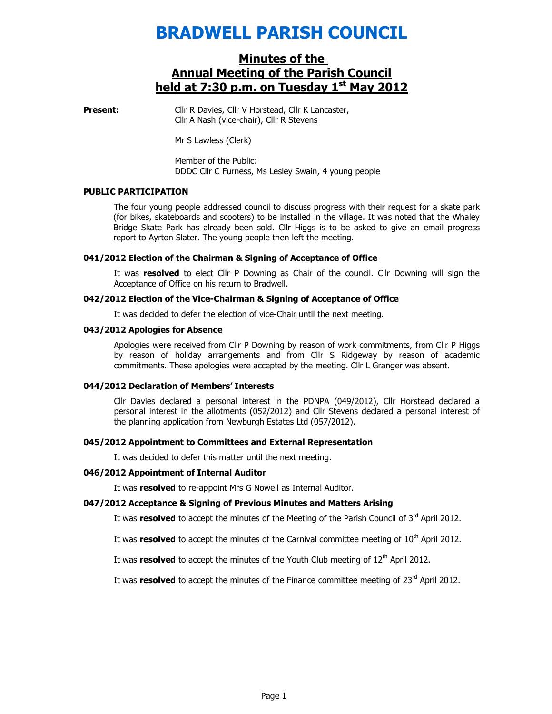# BRADWELL PARISH COUNCIL

# Minutes of the Annual Meeting of the Parish Council held at 7:30 p.m. on Tuesday 1<sup>st</sup> May 2012

**Present:** Cllr R Davies, Cllr V Horstead, Cllr K Lancaster, Cllr A Nash (vice-chair), Cllr R Stevens

Mr S Lawless (Clerk)

Member of the Public: DDDC Cllr C Furness, Ms Lesley Swain, 4 young people

### PUBLIC PARTICIPATION

The four young people addressed council to discuss progress with their request for a skate park (for bikes, skateboards and scooters) to be installed in the village. It was noted that the Whaley Bridge Skate Park has already been sold. Cllr Higgs is to be asked to give an email progress report to Ayrton Slater. The young people then left the meeting.

# 041/2012 Election of the Chairman & Signing of Acceptance of Office

It was resolved to elect Cllr P Downing as Chair of the council. Cllr Downing will sign the Acceptance of Office on his return to Bradwell.

### 042/2012 Election of the Vice-Chairman & Signing of Acceptance of Office

It was decided to defer the election of vice-Chair until the next meeting.

### 043/2012 Apologies for Absence

Apologies were received from Cllr P Downing by reason of work commitments, from Cllr P Higgs by reason of holiday arrangements and from Cllr S Ridgeway by reason of academic commitments. These apologies were accepted by the meeting. Cllr L Granger was absent.

### 044/2012 Declaration of Members' Interests

Cllr Davies declared a personal interest in the PDNPA (049/2012), Cllr Horstead declared a personal interest in the allotments (052/2012) and Cllr Stevens declared a personal interest of the planning application from Newburgh Estates Ltd (057/2012).

### 045/2012 Appointment to Committees and External Representation

It was decided to defer this matter until the next meeting.

### 046/2012 Appointment of Internal Auditor

It was **resolved** to re-appoint Mrs G Nowell as Internal Auditor.

# 047/2012 Acceptance & Signing of Previous Minutes and Matters Arising

It was resolved to accept the minutes of the Meeting of the Parish Council of  $3<sup>rd</sup>$  April 2012.

It was resolved to accept the minutes of the Carnival committee meeting of  $10<sup>th</sup>$  April 2012.

It was resolved to accept the minutes of the Youth Club meeting of  $12<sup>th</sup>$  April 2012.

It was resolved to accept the minutes of the Finance committee meeting of  $23<sup>rd</sup>$  April 2012.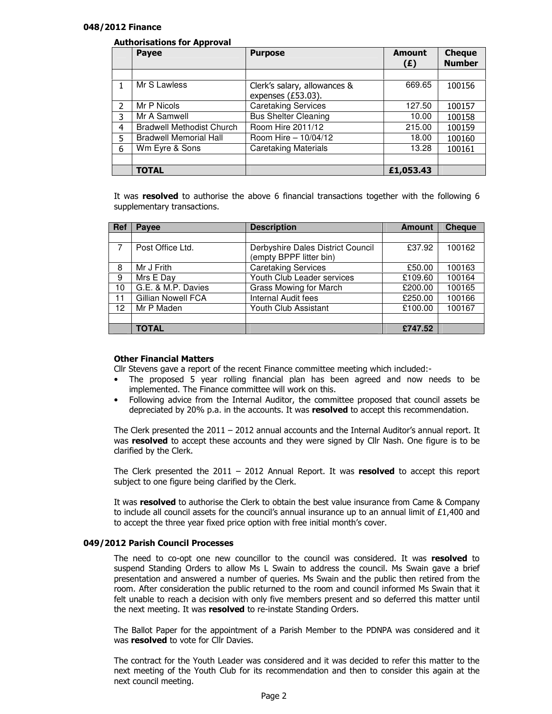# 048/2012 Finance

# Authorisations for Approval

|                | . .<br><b>Payee</b>              | <b>Purpose</b>                                     | <b>Amount</b><br>(E) | <b>Cheque</b><br><b>Number</b> |
|----------------|----------------------------------|----------------------------------------------------|----------------------|--------------------------------|
|                |                                  |                                                    |                      |                                |
|                | Mr S Lawless                     | Clerk's salary, allowances &<br>expenses (£53.03). | 669.65               | 100156                         |
| $\mathfrak{p}$ | Mr P Nicols                      | <b>Caretaking Services</b>                         | 127.50               | 100157                         |
| 3              | Mr A Samwell                     | <b>Bus Shelter Cleaning</b>                        | 10.00                | 100158                         |
| 4              | <b>Bradwell Methodist Church</b> | Room Hire 2011/12                                  | 215.00               | 100159                         |
| 5              | <b>Bradwell Memorial Hall</b>    | Room Hire - 10/04/12                               | 18.00                | 100160                         |
| 6              | Wm Eyre & Sons                   | <b>Caretaking Materials</b>                        | 13.28                | 100161                         |
|                |                                  |                                                    |                      |                                |
|                | <b>TOTAL</b>                     |                                                    | £1,053.43            |                                |

It was resolved to authorise the above 6 financial transactions together with the following 6 supplementary transactions.

| <b>Ref</b> | Payee                     | <b>Description</b>                | <b>Amount</b> | <b>Cheque</b> |
|------------|---------------------------|-----------------------------------|---------------|---------------|
|            |                           |                                   |               |               |
|            | Post Office Ltd.          | Derbyshire Dales District Council | £37.92        | 100162        |
|            |                           | (empty BPPF litter bin)           |               |               |
| 8          | Mr J Frith                | <b>Caretaking Services</b>        | £50.00        | 100163        |
| 9          | Mrs E Day                 | Youth Club Leader services        | £109.60       | 100164        |
| 10         | G.E. & M.P. Davies        | Grass Mowing for March            | £200.00       | 100165        |
| 11         | <b>Gillian Nowell FCA</b> | <b>Internal Audit fees</b>        | £250.00       | 100166        |
| 12         | Mr P Maden                | Youth Club Assistant              | £100.00       | 100167        |
|            |                           |                                   |               |               |
|            | <b>TOTAL</b>              |                                   | £747.52       |               |

## Other Financial Matters

Cllr Stevens gave a report of the recent Finance committee meeting which included:-

- The proposed 5 year rolling financial plan has been agreed and now needs to be implemented. The Finance committee will work on this.
- Following advice from the Internal Auditor, the committee proposed that council assets be depreciated by 20% p.a. in the accounts. It was resolved to accept this recommendation.

The Clerk presented the 2011 – 2012 annual accounts and the Internal Auditor's annual report. It was resolved to accept these accounts and they were signed by Cllr Nash. One figure is to be clarified by the Clerk.

The Clerk presented the  $2011 - 2012$  Annual Report. It was resolved to accept this report subject to one figure being clarified by the Clerk.

It was resolved to authorise the Clerk to obtain the best value insurance from Came & Company to include all council assets for the council's annual insurance up to an annual limit of £1,400 and to accept the three year fixed price option with free initial month's cover.

# 049/2012 Parish Council Processes

The need to co-opt one new councillor to the council was considered. It was resolved to suspend Standing Orders to allow Ms L Swain to address the council. Ms Swain gave a brief presentation and answered a number of queries. Ms Swain and the public then retired from the room. After consideration the public returned to the room and council informed Ms Swain that it felt unable to reach a decision with only five members present and so deferred this matter until the next meeting. It was resolved to re-instate Standing Orders.

The Ballot Paper for the appointment of a Parish Member to the PDNPA was considered and it was **resolved** to vote for Cllr Davies.

The contract for the Youth Leader was considered and it was decided to refer this matter to the next meeting of the Youth Club for its recommendation and then to consider this again at the next council meeting.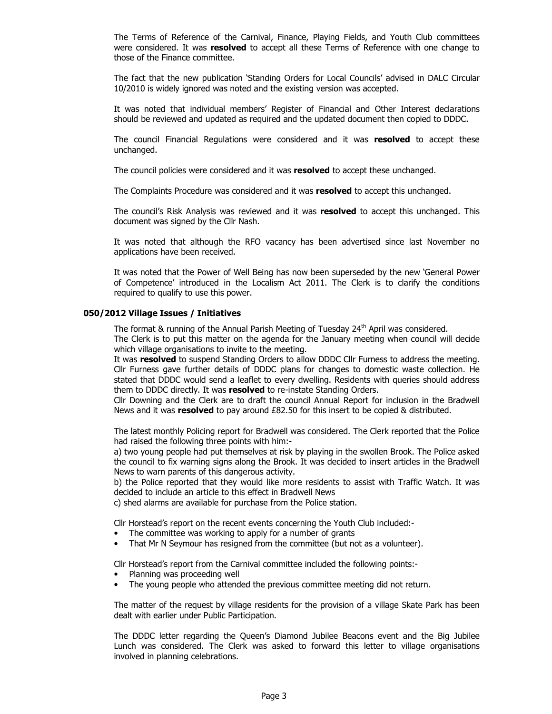The Terms of Reference of the Carnival, Finance, Playing Fields, and Youth Club committees were considered. It was resolved to accept all these Terms of Reference with one change to those of the Finance committee.

The fact that the new publication 'Standing Orders for Local Councils' advised in DALC Circular 10/2010 is widely ignored was noted and the existing version was accepted.

It was noted that individual members' Register of Financial and Other Interest declarations should be reviewed and updated as required and the updated document then copied to DDDC.

The council Financial Regulations were considered and it was resolved to accept these unchanged.

The council policies were considered and it was resolved to accept these unchanged.

The Complaints Procedure was considered and it was resolved to accept this unchanged.

The council's Risk Analysis was reviewed and it was resolved to accept this unchanged. This document was signed by the Cllr Nash.

It was noted that although the RFO vacancy has been advertised since last November no applications have been received.

It was noted that the Power of Well Being has now been superseded by the new 'General Power of Competence' introduced in the Localism Act 2011. The Clerk is to clarify the conditions required to qualify to use this power.

# 050/2012 Village Issues / Initiatives

The format & running of the Annual Parish Meeting of Tuesday  $24<sup>th</sup>$  April was considered.

The Clerk is to put this matter on the agenda for the January meeting when council will decide which village organisations to invite to the meeting.

It was resolved to suspend Standing Orders to allow DDDC Cllr Furness to address the meeting. Cllr Furness gave further details of DDDC plans for changes to domestic waste collection. He stated that DDDC would send a leaflet to every dwelling. Residents with queries should address them to DDDC directly. It was resolved to re-instate Standing Orders.

Cllr Downing and the Clerk are to draft the council Annual Report for inclusion in the Bradwell News and it was resolved to pay around £82.50 for this insert to be copied & distributed.

The latest monthly Policing report for Bradwell was considered. The Clerk reported that the Police had raised the following three points with him:-

a) two young people had put themselves at risk by playing in the swollen Brook. The Police asked the council to fix warning signs along the Brook. It was decided to insert articles in the Bradwell News to warn parents of this dangerous activity.

b) the Police reported that they would like more residents to assist with Traffic Watch. It was decided to include an article to this effect in Bradwell News

c) shed alarms are available for purchase from the Police station.

Cllr Horstead's report on the recent events concerning the Youth Club included:-

- The committee was working to apply for a number of grants
- That Mr N Seymour has resigned from the committee (but not as a volunteer).

Cllr Horstead's report from the Carnival committee included the following points:-

- Planning was proceeding well
- The young people who attended the previous committee meeting did not return.

The matter of the request by village residents for the provision of a village Skate Park has been dealt with earlier under Public Participation.

The DDDC letter regarding the Queen's Diamond Jubilee Beacons event and the Big Jubilee Lunch was considered. The Clerk was asked to forward this letter to village organisations involved in planning celebrations.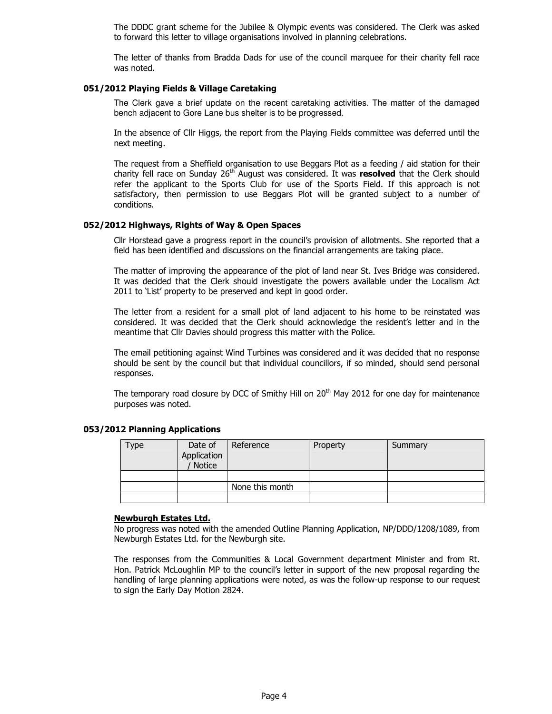The DDDC grant scheme for the Jubilee & Olympic events was considered. The Clerk was asked to forward this letter to village organisations involved in planning celebrations.

The letter of thanks from Bradda Dads for use of the council marquee for their charity fell race was noted.

# 051/2012 Playing Fields & Village Caretaking

The Clerk gave a brief update on the recent caretaking activities. The matter of the damaged bench adjacent to Gore Lane bus shelter is to be progressed.

In the absence of Cllr Higgs, the report from the Playing Fields committee was deferred until the next meeting.

The request from a Sheffield organisation to use Beggars Plot as a feeding / aid station for their charity fell race on Sunday 26<sup>th</sup> August was considered. It was resolved that the Clerk should refer the applicant to the Sports Club for use of the Sports Field. If this approach is not satisfactory, then permission to use Beggars Plot will be granted subject to a number of conditions.

# 052/2012 Highways, Rights of Way & Open Spaces

Cllr Horstead gave a progress report in the council's provision of allotments. She reported that a field has been identified and discussions on the financial arrangements are taking place.

The matter of improving the appearance of the plot of land near St. Ives Bridge was considered. It was decided that the Clerk should investigate the powers available under the Localism Act 2011 to 'List' property to be preserved and kept in good order.

The letter from a resident for a small plot of land adjacent to his home to be reinstated was considered. It was decided that the Clerk should acknowledge the resident's letter and in the meantime that Cllr Davies should progress this matter with the Police.

The email petitioning against Wind Turbines was considered and it was decided that no response should be sent by the council but that individual councillors, if so minded, should send personal responses.

The temporary road closure by DCC of Smithy Hill on  $20<sup>th</sup>$  May 2012 for one day for maintenance purposes was noted.

# 053/2012 Planning Applications

| iype | Date of<br>Application<br>Notice | Reference       | Property | Summary |
|------|----------------------------------|-----------------|----------|---------|
|      |                                  |                 |          |         |
|      |                                  | None this month |          |         |
|      |                                  |                 |          |         |

### Newburgh Estates Ltd.

No progress was noted with the amended Outline Planning Application, NP/DDD/1208/1089, from Newburgh Estates Ltd. for the Newburgh site.

The responses from the Communities & Local Government department Minister and from Rt. Hon. Patrick McLoughlin MP to the council's letter in support of the new proposal regarding the handling of large planning applications were noted, as was the follow-up response to our request to sign the Early Day Motion 2824.